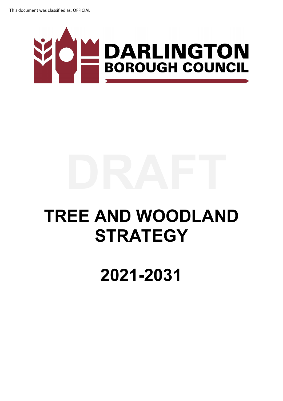

## **TREE AND WOODLAND STRATEGY**

## **2021-2031**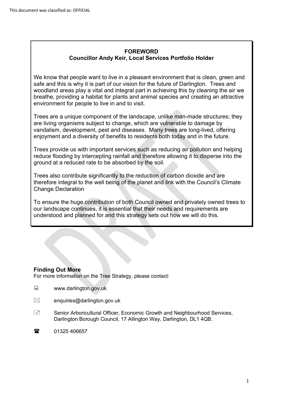#### **FOREWORD Councillor Andy Keir, Local Services Portfolio Holder**

We know that people want to live in a pleasant environment that is clean, green and safe and this is why it is part of our vision for the future of Darlington. Trees and woodland areas play a vital and integral part in achieving this by cleaning the air we breathe, providing a habitat for plants and animal species and creating an attractive environment for people to live in and to visit.

Trees are a unique component of the landscape, unlike man-made structures; they are living organisms subject to change, which are vulnerable to damage by vandalism, development, pest and diseases. Many trees are long-lived, offering enjoyment and a diversity of benefits to residents both today and in the future.

enjoyment and a diversity of benefits to residents both today and in the future.<br>Trees provide us with important services such as reducing air pollution and helping reduce flooding by intercepting rainfall and therefore allowing it to disperse into the ground at a reduced rate to be absorbed by the soil.

Trees also contribute significantly to the reduction of carbon dioxide and are therefore integral to the well being of the planet and link with the Council's Climate Change Declaration

To ensure the huge contribution of both Council owned and privately owned trees to our landscape continues, it is essential that their needs and requirements are understood and planned for and this strategy sets out how we will do this.

#### **Finding Out More**

For more information on the Tree Strategy, please contact:

- www.darlington.gov.uk
- $\boxtimes$  enquiries@darlington.gov.uk
- Senior Arboricultural Officer, Economic Growth and Neighbourhood Services, Darlington Borough Council, 17 Allington Way, Darlington, DL1 4QB.
- 1325 406657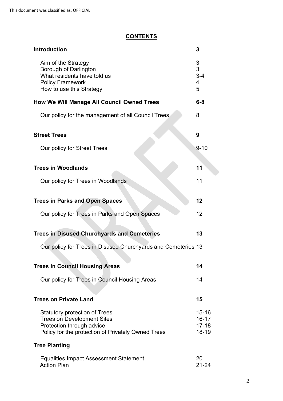### **CONTENTS**

| <b>Introduction</b>                                                                                                                                          | 3                                                 |
|--------------------------------------------------------------------------------------------------------------------------------------------------------------|---------------------------------------------------|
| Aim of the Strategy<br>Borough of Darlington<br>What residents have told us<br><b>Policy Framework</b><br>How to use this Strategy                           | 3<br>3<br>$3 - 4$<br>$\overline{\mathbf{4}}$<br>5 |
| <b>How We Will Manage All Council Owned Trees</b>                                                                                                            | $6 - 8$                                           |
| Our policy for the management of all Council Trees                                                                                                           | 8                                                 |
| <b>Street Trees</b>                                                                                                                                          | 9                                                 |
| Our policy for Street Trees                                                                                                                                  | $9 - 10$                                          |
| <b>Trees in Woodlands</b>                                                                                                                                    | 11                                                |
| Our policy for Trees in Woodlands                                                                                                                            | 11                                                |
| <b>Trees in Parks and Open Spaces</b>                                                                                                                        | 12                                                |
| Our policy for Trees in Parks and Open Spaces                                                                                                                | 12                                                |
| <b>Trees in Disused Churchyards and Cemeteries</b>                                                                                                           | 13                                                |
| Our policy for Trees in Disused Churchyards and Cemeteries 13                                                                                                |                                                   |
| <b>Trees in Council Housing Areas</b>                                                                                                                        | 14                                                |
| Our policy for Trees in Council Housing Areas                                                                                                                | 14                                                |
| <b>Trees on Private Land</b>                                                                                                                                 | 15                                                |
| <b>Statutory protection of Trees</b><br><b>Trees on Development Sites</b><br>Protection through advice<br>Policy for the protection of Privately Owned Trees | $15 - 16$<br>$16 - 17$<br>$17 - 18$<br>18-19      |
| <b>Tree Planting</b>                                                                                                                                         |                                                   |
| <b>Equalities Impact Assessment Statement</b><br><b>Action Plan</b>                                                                                          | 20<br>$21 - 24$                                   |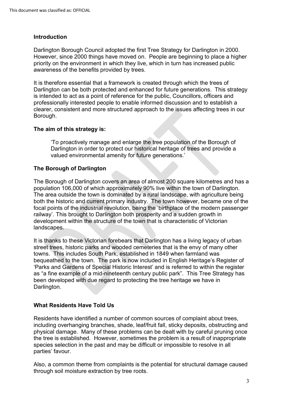#### **Introduction**

 However, since 2000 things have moved on. People are beginning to place a higher awareness of the benefits provided by trees. Darlington Borough Council adopted the first Tree Strategy for Darlington in 2000. priority on the environment in which they live, which in turn has increased public

 is intended to act as a point of reference for the public, Councillors, officers and clearer, consistent and more structured approach to the issues affecting trees in our It is therefore essential that a framework is created through which the trees of Darlington can be both protected and enhanced for future generations. This strategy professionally interested people to enable informed discussion and to establish a Borough.

#### **The aim of this strategy is:**

'To proactively manage and enlarge the tree population of the Borough of Darlington in order to protect our historical heritage of trees and provide a valued environmental amenity for future generations.'

#### **The Borough of Darlington**

population 106,000 of which approximately 90% live within the town of Darlington. The Borough of Darlington covers an area of almost 200 square kilometres and has a The area outside the town is dominated by a rural landscape, with agriculture being both the historic and current primary industry. The town however, became one of the focal points of the industrial revolution, being the 'birthplace of the modern passenger railway'. This brought to Darlington both prosperity and a sudden growth in development within the structure of the town that is characteristic of Victorian landscapes.

 towns. This includes South Park, established in 1849 when farmland was bequeathed to the town. The park is now included in English Heritage's Register of 'Parks and Gardens of Special Historic Interest' and is referred to within the register as "a fine example of a mid-nineteenth century public park". This Tree Strategy has It is thanks to these Victorian forebears that Darlington has a living legacy of urban street trees, historic parks and wooded cemeteries that is the envy of many other been developed with due regard to protecting the tree heritage we have in Darlington.

#### **What Residents Have Told Us**

Residents have identified a number of common sources of complaint about trees, including overhanging branches, shade, leaf/fruit fall, sticky deposits, obstructing and physical damage. Many of these problems can be dealt with by careful pruning once the tree is established. However, sometimes the problem is a result of inappropriate species selection in the past and may be difficult or impossible to resolve in all parties' favour.

 through soil moisture extraction by tree roots. Also, a common theme from complaints is the potential for structural damage caused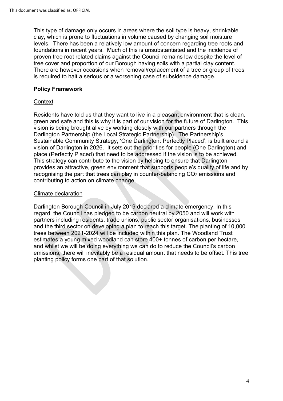levels. There has been a relatively low amount of concern regarding tree roots and This type of damage only occurs in areas where the soil type is heavy, shrinkable clay, which is prone to fluctuations in volume caused by changing soil moisture foundations in recent years. Much of this is unsubstantiated and the incidence of proven tree root related claims against the Council remains low despite the level of tree cover and proportion of our Borough having soils with a partial clay content. There are however occasions when removal/replacement of a tree or group of trees is required to halt a serious or a worsening case of subsidence damage.

#### **Policy Framework**

#### **Context**

 green and safe and this is why it is part of our vision for the future of Darlington. This Darlington Partnership (the Local Strategic Partnership). The Partnership's place (Perfectly Placed) that need to be addressed if the vision is to be achieved. provides an attractive, green environment that supports people's quality of life and by Residents have told us that they want to live in a pleasant environment that is clean, vision is being brought alive by working closely with our partners through the Sustainable Community Strategy, 'One Darlington: Perfectly Placed', is built around a vision of Darlington in 2026. It sets out the priorities for people (One Darlington) and This strategy can contribute to the vision by helping to ensure that Darlington recognising the part that trees can play in counter-balancing  $CO<sub>2</sub>$  emissions and contributing to action on climate change.

#### Climate declaration

 partners including residents, trade unions, public sector organisations, businesses estimates a young mixed woodland can store 400+ tonnes of carbon per hectare, Darlington Borough Council in July 2019 declared a climate emergency. In this regard, the Council has pledged to be carbon neutral by 2050 and will work with and the third sector on developing a plan to reach this target. The planting of 10,000 trees between 2021-2024 will be included within this plan. The Woodland Trust and whilst we will be doing everything we can do to reduce the Council's carbon emissions, there will inevitably be a residual amount that needs to be offset. This tree planting policy forms one part of that solution.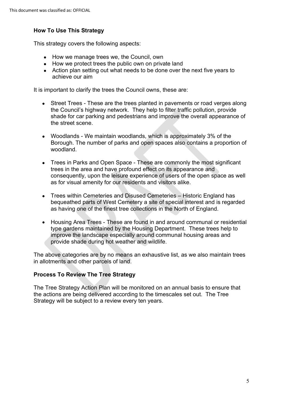#### **How To Use This Strategy**

This strategy covers the following aspects:

- How we manage trees we, the Council, own
- How we protect trees the public own on private land
- Action plan setting out what needs to be done over the next five years to achieve our aim

It is important to clarify the trees the Council owns, these are:

- the Council's highway network. They help to filter traffic pollution, provide shade for car parking and pedestrians and improve the overall appearance of the street scene. • Street Trees - These are the trees planted in pavements or road verges along
- Woodlands We maintain woodlands, which is approximately 3% of the Borough. The number of parks and open spaces also contains a proportion of woodland.
- • Trees in Parks and Open Space These are commonly the most significant as for visual amenity for our residents and visitors alike. trees in the area and have profound effect on its appearance and consequently, upon the leisure experience of users of the open space as well
- • Trees within Cemeteries and Disused Cemeteries Historic England has bequeathed parts of West Cemetery a site of special interest and is regarded as having one of the finest tree collections in the North of England.
- Housing Area Trees These are found in and around communal or residential type gardens maintained by the Housing Department. These trees help to improve the landscape especially around communal housing areas and provide shade during hot weather and wildlife.

The above categories are by no means an exhaustive list, as we also maintain trees in allotments and other parcels of land.

#### **Process To Review The Tree Strategy**

 Strategy will be subject to a review every ten years. The Tree Strategy Action Plan will be monitored on an annual basis to ensure that the actions are being delivered according to the timescales set out. The Tree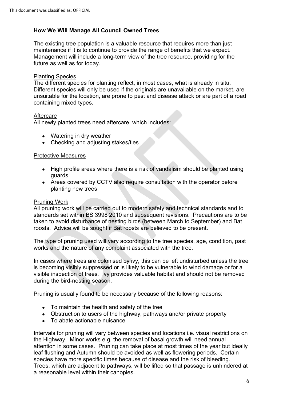#### **How We Will Manage All Council Owned Trees**

maintenance if it is to continue to provide the range of benefits that we expect. future as well as for today. The existing tree population is a valuable resource that requires more than just Management will include a long-term view of the tree resource, providing for the

#### Planting Species

The different species for planting reflect, in most cases, what is already in situ. Different species will only be used if the originals are unavailable on the market, are unsuitable for the location, are prone to pest and disease attack or are part of a road containing mixed types.

#### Aftercare

All newly planted trees need aftercare, which includes:

- Watering in dry weather
- Checking and adjusting stakes/ties

#### Protective Measures

- guards • High profile areas where there is a risk of vandalism should be planted using
- Areas covered by CCTV also require consultation with the operator before planting new trees

#### Pruning Work

 standards set within BS 3998 2010 and subsequent revisions. Precautions are to be roosts. Advice will be sought if Bat roosts are believed to be present. All pruning work will be carried out to modern safety and technical standards and to taken to avoid disturbance of nesting birds (between March to September) and Bat

The type of pruning used will vary according to the tree species, age, condition, past works and the nature of any complaint associated with the tree.

 during the bird-nesting season. In cases where trees are colonised by ivy, this can be left undisturbed unless the tree is becoming visibly suppressed or is likely to be vulnerable to wind damage or for a visible inspection of trees. Ivy provides valuable habitat and should not be removed

Pruning is usually found to be necessary because of the following reasons:

- To maintain the health and safety of the tree
- Obstruction to users of the highway, pathways and/or private property
- To abate actionable nuisance

 the Highway. Minor works e.g. the removal of basal growth will need annual species have more specific times because of disease and the risk of bleeding. Intervals for pruning will vary between species and locations i.e. visual restrictions on attention in some cases. Pruning can take place at most times of the year but ideally leaf flushing and Autumn should be avoided as well as flowering periods. Certain Trees, which are adjacent to pathways, will be lifted so that passage is unhindered at a reasonable level within their canopies.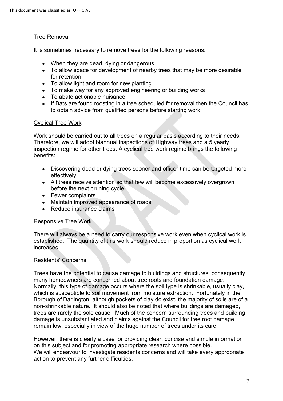#### Tree Removal

It is sometimes necessary to remove trees for the following reasons:

- When they are dead, dying or dangerous
- To allow space for development of nearby trees that may be more desirable for retention
- To allow light and room for new planting
- To make way for any approved engineering or building works
- To abate actionable nuisance
- If Bats are found roosting in a tree scheduled for removal then the Council has to obtain advice from qualified persons before starting work

#### Cyclical Tree Work

Work should be carried out to all trees on a regular basis according to their needs. Work should be carried out to all trees on a regular basis according to their needs.<br>Therefore, we will adopt biannual inspections of Highway trees and a 5 yearly inspection regime for other trees. A cyclical tree work regime brings the following benefits:

- Discovering dead or dying trees sooner and officer time can be targeted more effectively
- All trees receive attention so that few will become excessively overgrown before the next pruning cycle
- Fewer complaints
- Maintain improved appearance of roads
- Reduce insurance claims

#### Responsive Tree Work

 established. The quantity of this work should reduce in proportion as cyclical work increases. There will always be a need to carry our responsive work even when cyclical work is

#### Residents' Concerns

 Trees have the potential to cause damage to buildings and structures, consequently many homeowners are concerned about tree roots and foundation damage. many homeowners are concerned about tree roots and foundation damage.<br>Normally, this type of damage occurs where the soil type is shrinkable, usually clay, which is susceptible to soil movement from moisture extraction. Fortunately in the Borough of Darlington, although pockets of clay do exist, the majority of soils are of a non-shrinkable nature. It should also be noted that where buildings are damaged, trees are rarely the sole cause. Much of the concern surrounding trees and building damage is unsubstantiated and claims against the Council for tree root damage remain low, especially in view of the huge number of trees under its care.

 However, there is clearly a case for providing clear, concise and simple information on this subject and for promoting appropriate research where possible. We will endeavour to investigate residents concerns and will take every appropriate action to prevent any further difficulties.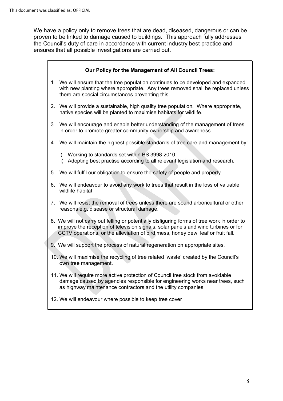We have a policy only to remove trees that are dead, diseased, dangerous or can be proven to be linked to damage caused to buildings. This approach fully addresses the Council's duty of care in accordance with current industry best practice and ensures that all possible investigations are carried out.

#### **Our Policy for the Management of All Council Trees:**

- 1. We will ensure that the tree population continues to be developed and expanded with new planting where appropriate. Any trees removed shall be replaced unless there are special circumstances preventing this.
- 2. We will provide a sustainable, high quality tree population. Where appropriate, native species will be planted to maximise habitats for wildlife.
- 3. We will encourage and enable better understanding of the management of trees in order to promote greater community ownership and awareness.
- 4. We will maintain the highest possible standards of tree care and management by:
	- i) Working to standards set within BS 3998 2010.
	- ii) Adopting best practise according to all relevant legislation and research.
- 5. We will fulfil our obligation to ensure the safety of people and property.
- 6. We will endeavour to avoid any work to trees that result in the loss of valuable wildlife habitat.
- 7. We will resist the removal of trees unless there are sound arboricultural or other reasons e.g. disease or structural damage.
- 8. We will not carry out felling or potentially disfiguring forms of tree work in order to improve the reception of television signals, solar panels and wind turbines or for CCTV operations, or the alleviation of bird mess, honey dew, leaf or fruit fall.
- 9. We will support the process of natural regeneration on appropriate sites.
- 10. We will maximise the recycling of tree related 'waste' created by the Council's own tree management.
- 11. We will require more active protection of Council tree stock from avoidable damage caused by agencies responsible for engineering works near trees, such as highway maintenance contractors and the utility companies.
- 12. We will endeavour where possible to keep tree cover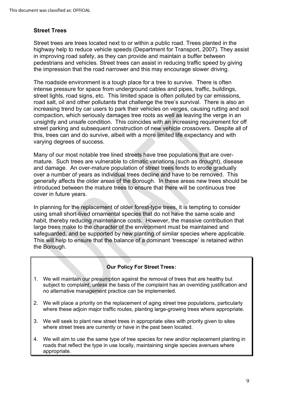#### **Street Trees**

 highway help to reduce vehicle speeds (Department for Transport, 2007). They assist in improving road safety, as they can provide and maintain a buffer between pedestrians and vehicles. Street trees can assist in reducing traffic speed by giving Street trees are trees located next to or within a public road. Trees planted in the the impression that the road narrower and this may encourage slower driving.

compaction, which seriously damages tree roots as well as leaving the verge in an unsightly and unsafe condition. This coincides with an increasing requirement for off street parking and subsequent construction of new vehicle crossovers. Despite all of this, trees can and do survive, albeit with a more limited life expectancy and with varying degrees of success. The roadside environment is a tough place for a tree to survive. There is often intense pressure for space from underground cables and pipes, traffic, buildings, street lights, road signs, etc. This limited space is often polluted by car emissions, road salt, oil and other pollutants that challenge the tree's survival. There is also an increasing trend by car users to park their vehicles on verges, causing rutting and soil

Many of our most notable tree lined streets have tree populations that are overmature. Such trees are vulnerable to climatic variations (such as drought), disease and damage. An over-mature population of street trees tends to erode gradually over a number of years as individual trees decline and have to be removed. This generally affects the older areas of the Borough. In these areas new trees should be introduced between the mature trees to ensure that there will be continuous tree cover in future years.

In planning for the replacement of older forest-type trees, it is tempting to consider using small short-lived ornamental species that do not have the same scale and habit, thereby reducing maintenance costs. However, the massive contribution that large trees make to the character of the environment must be maintained and safeguarded, and be supported by new planting of similar species where applicable. This will help to ensure that the balance of a dominant 'treescape' is retained within the Borough. placement of older forest-type trees, it is tempting to consider<br>d ornamental species that do not have the same scale and<br>g maintenance costs. However, the massive contribution that<br>he character of the environment must be

#### **Our Policy For Street Trees:**

- 1. We will maintain our presumption against the removal of trees that are healthy but subject to complaint, unless the basis of the complaint has an overriding justification and no alternative management practice can be implemented.
- 2. We will place a priority on the replacement of aging street tree populations, particularly where these adjoin major traffic routes, planting large-growing trees where appropriate.
- 3. We will seek to plant new street trees in appropriate sites with priority given to sites where street trees are currently or have in the past been located.
- 4. We will aim to use the same type of tree species for new and/or replacement planting in roads that reflect the type in use locally, maintaining single species avenues where appropriate.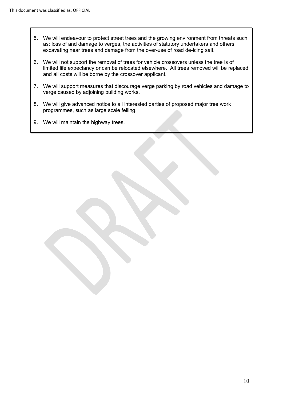- 5. We will endeavour to protect street trees and the growing environment from threats such as: loss of and damage to verges, the activities of statutory undertakers and others excavating near trees and damage from the over-use of road de-icing salt.
- 6. We will not support the removal of trees for vehicle crossovers unless the tree is of limited life expectancy or can be relocated elsewhere. All trees removed will be replaced and all costs will be borne by the crossover applicant.
- 7. We will support measures that discourage verge parking by road vehicles and damage to verge caused by adjoining building works.
- 8. We will give advanced notice to all interested parties of proposed major tree work programmes, such as large scale felling.
- 9. We will maintain the highway trees.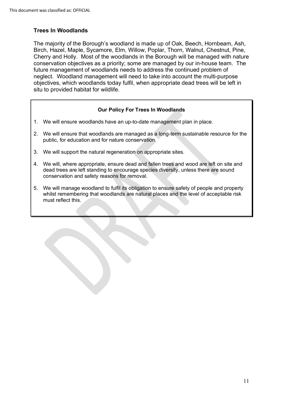#### **Trees In Woodlands**

The majority of the Borough's woodland is made up of Oak, Beech, Hornbeam, Ash, Birch, Hazel, Maple, Sycamore, Elm, Willow, Poplar, Thorn, Walnut, Chestnut, Pine, Cherry and Holly. Most of the woodlands in the Borough will be managed with nature conservation objectives as a priority; some are managed by our in-house team. The future management of woodlands needs to address the continued problem of neglect. Woodland management will need to take into account the multi-purpose objectives, which woodlands today fulfil, when appropriate dead trees will be left in situ to provided habitat for wildlife.

#### **Our Policy For Trees In Woodlands**

- 1. We will ensure woodlands have an up-to-date management plan in place.
- 2. We will ensure that woodlands are managed as a long-term sustainable resource for the public, for education and for nature conservation.
- 3. We will support the natural regeneration on appropriate sites.
- 4. We will, where appropriate, ensure dead and fallen trees and wood are left on site and dead trees are left standing to encourage species diversity, unless there are sound conservation and safety reasons for removal. **cy For Trees In Woodlands**<br>an up-to-date management plan<br>re managed as a long-term sus<br>re conservation.<br>eration on appropriate sites.<br>re dead and fallen trees and wo<br>courage species diversity, unle<br>for removal.<br>I its obli
- 5. We will manage woodland to fulfil its obligation to ensure safety of people and property whilst remembering that woodlands are natural places and the level of acceptable risk must reflect this.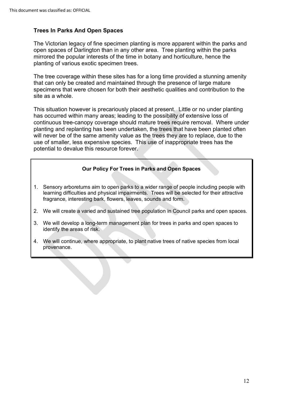#### **Trees In Parks And Open Spaces**

 open spaces of Darlington than in any other area. Tree planting within the parks The Victorian legacy of fine specimen planting is more apparent within the parks and mirrored the popular interests of the time in botany and horticulture, hence the planting of various exotic specimen trees.

The tree coverage within these sites has for a long time provided a stunning amenity that can only be created and maintained through the presence of large mature specimens that were chosen for both their aesthetic qualities and contribution to the site as a whole.

has occurred within many areas; leading to the possibility of extensive loss of continuous tree-canopy coverage should mature trees require removal. Where under planting and replanting has been undertaken, the trees that have been planted often will never be of the same amenity value as the trees they are to replace, due to the use of smaller, less expensive species. This use of inappropriate trees has the potential to devalue this resource forever. This situation however is precariously placed at present. Little or no under planting

# **COURTER SERVING SERVING SERVING SERVING SURFERIES SERVING SPACES**<br> **Our Policy For Trees in Parks and Open Spaces**

- 1. Sensory arboretums aim to open parks to a wider range of people including people with learning difficulties and physical impairments. Trees will be selected for their attractive fragrance, interesting bark, flowers, leaves, sounds and form.
- 2. We will create a varied and sustained tree population in Council parks and open spaces.
- 3. We will develop a long-term management plan for trees in parks and open spaces to identify the areas of risk.
- 4. We will continue, where appropriate, to plant native trees of native species from local provenance.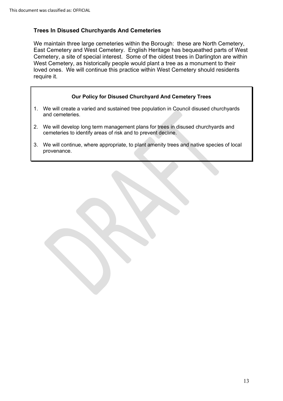#### **Trees In Disused Churchyards And Cemeteries**

We maintain three large cemeteries within the Borough: these are North Cemetery, East Cemetery and West Cemetery. English Heritage has bequeathed parts of West Cemetery, a site of special interest. Some of the oldest trees in Darlington are within West Cemetery, as historically people would plant a tree as a monument to their loved ones. We will continue this practice within West Cemetery should residents require it.

#### **Our Policy for Disused Churchyard And Cemetery Trees**

- 1. We will create a varied and sustained tree population in Council disused churchyards and cemeteries.
- 2. We will develop long term management plans for trees in disused churchyards and cemeteries to identify areas of risk and to prevent decline.
- 3. We will continue, where appropriate, to plant amenity trees and native species of local provenance.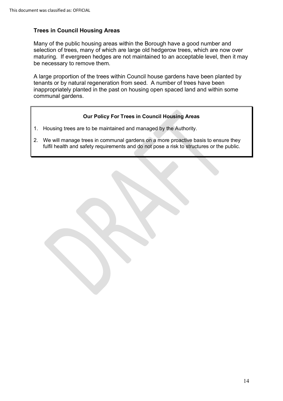#### **Trees in Council Housing Areas**

Many of the public housing areas within the Borough have a good number and selection of trees, many of which are large old hedgerow trees, which are now over maturing. If evergreen hedges are not maintained to an acceptable level, then it may be necessary to remove them.

A large proportion of the trees within Council house gardens have been planted by tenants or by natural regeneration from seed. A number of trees have been inappropriately planted in the past on housing open spaced land and within some communal gardens. remove them.<br>
In of the trees<br>
Itural regenerat<br>
Ilanted in the p<br>
Ins.<br>
Our Policy I<br>
are to be maint

#### **Our Policy For Trees in Council Housing Areas**

- 1. Housing trees are to be maintained and managed by the Authority.
- 2. We will manage trees in communal gardens on a more proactive basis to ensure they fulfil health and safety requirements and do not pose a risk to structures or the public.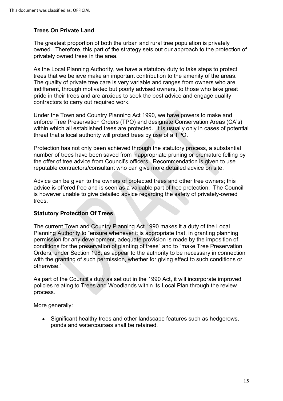#### **Trees On Private Land**

privately owned trees in the area. The greatest proportion of both the urban and rural tree population is privately owned. Therefore, this part of the strategy sets out our approach to the protection of

 trees that we believe make an important contribution to the amenity of the areas. As the Local Planning Authority, we have a statutory duty to take steps to protect The quality of private tree care is very variable and ranges from owners who are indifferent, through motivated but poorly advised owners, to those who take great pride in their trees and are anxious to seek the best advice and engage quality contractors to carry out required work.

 within which all established trees are protected. It is usually only in cases of potential threat that a local authority will protect trees by use of a TPO. Under the Town and Country Planning Act 1990, we have powers to make and enforce Tree Preservation Orders (TPO) and designate Conservation Areas (CA's)

reputable contractors/consultant who can give more detailed advice on site. Protection has not only been achieved through the statutory process, a substantial number of trees have been saved from inappropriate pruning or premature felling by the offer of tree advice from Council's officers. Recommendation is given to use

 advice is offered free and is seen as a valuable part of tree protection. The Council is however unable to give detailed advice regarding the safety of privately-owned Advice can be given to the owners of protected trees and other tree owners; this trees.

#### **Statutory Protection Of Trees**

 with the granting of such permission, whether for giving effect to such conditions or The current Town and Country Planning Act 1990 makes it a duty of the Local Planning Authority to "ensure whenever it is appropriate that, in granting planning permission for any development, adequate provision is made by the imposition of conditions for the preservation of planting of trees" and to "make Tree Preservation Orders, under Section 198, as appear to the authority to be necessary in connection otherwise."

 As part of the Council's duty as set out in the 1990 Act, it will incorporate improved policies relating to Trees and Woodlands within its Local Plan through the review process.

More generally:

• Significant healthy trees and other landscape features such as hedgerows, ponds and watercourses shall be retained.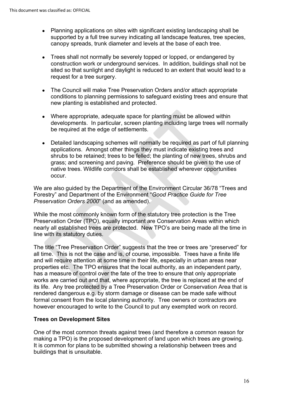- canopy spreads, trunk diameter and levels at the base of each tree. • Planning applications on sites with significant existing landscaping shall be supported by a full tree survey indicating all landscape features, tree species,
- Trees shall not normally be severely topped or lopped, or endangered by construction work or underground services. In addition, buildings shall not be sited so that sunlight and daylight is reduced to an extent that would lead to a request for a tree surgery.
- • The Council will make Tree Preservation Orders and/or attach appropriate new planting is established and protected. conditions to planning permissions to safeguard existing trees and ensure that
- Where appropriate, adequate space for planting must be allowed within developments. In particular, screen planting including large trees will normally be required at the edge of settlements.
- occur. • Detailed landscaping schemes will normally be required as part of full planning applications. Amongst other things they must indicate existing trees and shrubs to be retained; trees to be felled; the planting of new trees, shrubs and grass; and screening and paving. Preference should be given to the use of native trees. Wildlife corridors shall be established wherever opportunities

We are also guided by the Department of the Environment Circular 36/78 "Trees and Forestry" and Department of the Environment "*Good Practice Guide for Tree Preservation Orders 2000*" (and as amended).

While the most commonly known form of the statutory tree protection is the Tree Preservation Order (TPO), equally important are Conservation Areas within which nearly all established trees are protected. New TPO's are being made all the time in line with its statutory duties.

 properties etc. The TPO ensures that the local authority, as an independent party, The title "Tree Preservation Order" suggests that the tree or trees are "preserved" for all time. This is not the case and is, of course, impossible. Trees have a finite life and will require attention at some time in their life, especially in urban areas near has a measure of control over the fate of the tree to ensure that only appropriate works are carried out and that, where appropriate, the tree is replaced at the end of its life. Any tree protected by a Tree Preservation Order or Conservation Area that is rendered dangerous e.g. by storm damage or disease can be made safe without formal consent from the local planning authority. Tree owners or contractors are however encouraged to write to the Council to put any exempted work on record.

#### **Trees on Development Sites**

making a TPO) is the proposed development of land upon which trees are growing. buildings that is unsuitable. One of the most common threats against trees (and therefore a common reason for It is common for plans to be submitted showing a relationship between trees and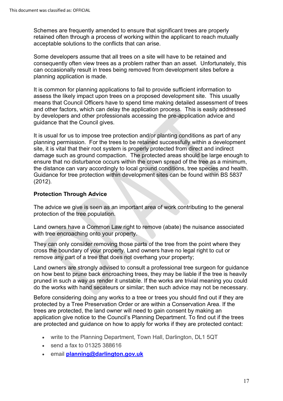Schemes are frequently amended to ensure that significant trees are properly retained often through a process of working within the applicant to reach mutually acceptable solutions to the conflicts that can arise.

Some developers assume that all trees on a site will have to be retained and consequently often view trees as a problem rather than an asset. Unfortunately, this can occasionally result in trees being removed from development sites before a planning application is made.

 by developers and other professionals accessing the pre-application advice and guidance that the Council gives. It is common for planning applications to fail to provide sufficient information to assess the likely impact upon trees on a proposed development site. This usually means that Council Officers have to spend time making detailed assessment of trees and other factors, which can delay the application process. This is easily addressed

 It is usual for us to impose tree protection and/or planting conditions as part of any planning permission. For the trees to be retained successfully within a development ensure that no disturbance occurs within the crown spread of the tree as a minimum, site, it is vital that their root system is properly protected from direct and indirect damage such as ground compaction. The protected areas should be large enough to the distance can vary accordingly to local ground conditions, tree species and health. Guidance for tree protection within development sites can be found within BS 5837 (2012).

#### **Protection Through Advice**

protection of the tree population. The advice we give is seen as an important area of work contributing to the general

Land owners have a Common Law right to remove (abate) the nuisance associated with tree encroaching onto your property.

 They can only consider removing those parts of the tree from the point where they remove any part of a tree that does not overhang your property; cross the boundary of your property. Land owners have no legal right to cut or

Land owners are strongly advised to consult a professional tree surgeon for guidance on how best to prune back encroaching trees, they may be liable if the tree is heavily pruned in such a way as render it unstable. If the works are trivial meaning you could do the works with hand secateurs or similar; then such advice may not be necessary.

 trees are protected, the land owner will need to gain consent by making an application give notice to the Council's Planning Department. To find out if the trees Before considering doing any works to a tree or trees you should find out if they are protected by a Tree Preservation Order or are within a Conservation Area. If the are protected and guidance on how to apply for works if they are protected contact:

- write to the Planning Department, Town Hall, Darlington, DL1 5QT
- send a fax to 01325 388616
- email **[planning@darlington.gov.uk](mailto:planning@darlington.gov.uk)**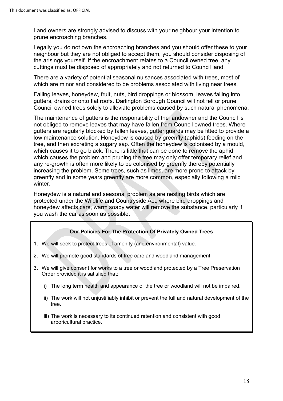Land owners are strongly advised to discuss with your neighbour your intention to prune encroaching branches.

Legally you do not own the encroaching branches and you should offer these to your neighbour but they are not obliged to accept them, you should consider disposing of the arisings yourself. If the encroachment relates to a Council owned tree, any cuttings must be disposed of appropriately and not returned to Council land.

There are a variety of potential seasonal nuisances associated with trees, most of which are minor and considered to be problems associated with living near trees.

Falling leaves, honeydew, fruit, nuts, bird droppings or blossom, leaves falling into gutters, drains or onto flat roofs. Darlington Borough Council will not fell or prune Council owned trees solely to alleviate problems caused by such natural phenomena.

The maintenance of gutters is the responsibility of the landowner and the Council is not obliged to remove leaves that may have fallen from Council owned trees. Where gutters are regularly blocked by fallen leaves, gutter guards may be fitted to provide a low maintenance solution. Honeydew is caused by greenfly (aphids) feeding on the tree, and then excreting a sugary sap. Often the honeydew is colonised by a mould, which causes it to go black. There is little that can be done to remove the aphid which causes the problem and pruning the tree may only offer temporary relief and any re-growth is often more likely to be colonised by greenfly thereby potentially increasing the problem. Some trees, such as limes, are more prone to attack by greenfly and in some years greenfly are more common, especially following a mild winter.

Honeydew is a natural and seasonal problem as are nesting birds which are protected under the Wildlife and Countryside Act, where bird droppings and honeydew affects cars, warm soapy water will remove the substance, particularly if you wash the car as soon as possible.

#### **Our Policies For The Protection Of Privately Owned Trees**

- 1. We will seek to protect trees of amenity (and environmental) value.
- 2. We will promote good standards of tree care and woodland management.
- 3. We will give consent for works to a tree or woodland protected by a Tree Preservation Order provided it is satisfied that:
	- i) The long term health and appearance of the tree or woodland will not be impaired.
	- ii) The work will not unjustifiably inhibit or prevent the full and natural development of the tree.
	- iii) The work is necessary to its continued retention and consistent with good arboricultural practice.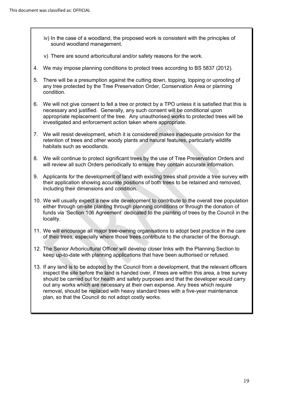- iv) In the case of a woodland, the proposed work is consistent with the principles of sound woodland management.
- v) There are sound arboricultural and/or safety reasons for the work.
- 4. We may impose planning conditions to protect trees according to BS 5837 (2012).
- 5. There will be a presumption against the cutting down, topping, lopping or uprooting of condition any tree protected by the Tree Preservation Order, Conservation Area or planning
- condition.<br>6. We will not give consent to fell a tree or protect by a TPO unless it is satisfied that this is necessary and justified. Generally, any such consent will be conditional upon appropriate replacement of the tree. Any unauthorised works to protected trees will be investigated and enforcement action taken where appropriate.
- 7. We will resist development, which it is considered makes inadequate provision for the retention of trees and other woody plants and natural features, particularly wildlife habitats such as woodlands.
- 8. We will continue to protect significant trees by the use of Tree Preservation Orders and will review all such Orders periodically to ensure they contain accurate information.
- 9. Applicants for the development of land with existing trees shall provide a tree survey with their application showing accurate positions of both trees to be retained and removed, including their dimensions and condition.
- 10. We will usually expect a new site development to contribute to the overall tree population either through on-site planting through planning conditions or through the donation of funds via 'Section 106 Agreement' dedicated to the planting of trees by the Council in the locality.
- 11. We will encourage all major tree-owning organisations to adopt best practice in the care of their trees, especially where those trees contribute to the character of the Borough.
- 12. The Senior Arboricultural Officer will develop closer links with the Planning Section to keep up-to-date with planning applications that have been authorised or refused.
- should be carried out for health and safety purposes and that the developer would carry out any works which are necessary at their own expense. Any trees which require plan, so that the Council do not adopt costly works. 13. If any land is to be adopted by the Council from a development, that the relevant officers inspect the site before the land is handed over, if trees are within this area, a tree survey removal, should be replaced with heavy standard trees with a five-year maintenance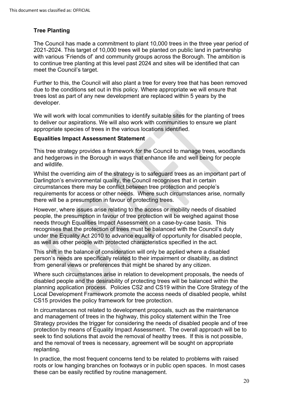#### **Tree Planting**

 The Council has made a commitment to plant 10,000 trees in the three year period of 2021-2024. This target of 10,000 trees will be planted on public land in partnership with various 'Friends of' and community groups across the Borough. The ambition is to continue tree planting at this level past 2024 and sites will be identified that can meet the Council's target.

 due to the conditions set out in this policy. Where appropriate we will ensure that Further to this, the Council will also plant a tree for every tree that has been removed trees lost as part of any new development are replaced within 5 years by the developer.

 appropriate species of trees in the various locations identified. We will work with local communities to identify suitable sites for the planting of trees to deliver our aspirations. We will also work with communities to ensure we plant

#### **Equalities Impact Assessment Statement**

This tree strategy provides a framework for the Council to manage trees, woodlands and hedgerows in the Borough in ways that enhance life and well being for people and wildlife.

 requirements for access or other needs. Where such circumstances arise, normally Whilst the overriding aim of the strategy is to safeguard trees as an important part of Darlington's environmental quality, the Council recognises that in certain circumstances there may be conflict between tree protection and people's there will be a presumption in favour of protecting trees.

However, where issues arise relating to the access or mobility needs of disabled people, the presumption in favour of tree protection will be weighed against those needs through Equalities Impact Assessment on a case-by-case basis. This recognises that the protection of trees must be balanced with the Council's duty under the Equality Act 2010 to advance equality of opportunity for disabled people, as well as other people with protected characteristics specified in the act.

 person's needs are specifically related to their impairment or disability, as distinct This shift in the balance of consideration will only be applied where a disabled from general views or preferences that might be shared by any citizen.

Where such circumstances arise in relation to development proposals, the needs of disabled people and the desirability of protecting trees will be balanced within the planning application process. Policies CS2 and CS19 within the Core Strategy of the Local Development Framework promote the access needs of disabled people, whilst CS15 provides the policy framework for tree protection.

 seek to find solutions that avoid the removal of healthy trees. If this is not possible, In circumstances not related to development proposals, such as the maintenance and management of trees in the highway, this policy statement within the Tree Strategy provides the trigger for considering the needs of disabled people and of tree protection by means of Equality Impact Assessment. The overall approach will be to and the removal of trees is necessary, agreement will be sought on appropriate replanting.

 roots or low hanging branches on footways or in public open spaces. In most cases In practice, the most frequent concerns tend to be related to problems with raised these can be easily rectified by routine management.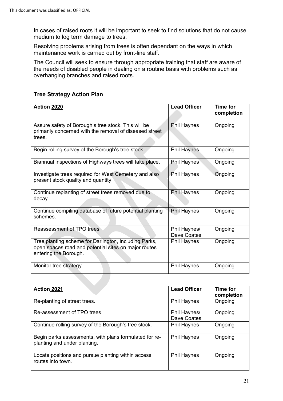medium to log term damage to trees. In cases of raised roots it will be important to seek to find solutions that do not cause

Resolving problems arising from trees is often dependant on the ways in which maintenance work is carried out by front-line staff.

The Council will seek to ensure through appropriate training that staff are aware of the needs of disabled people in dealing on a routine basis with problems such as overhanging branches and raised roots.

| <b>Action 2020</b>                                                                                                                     | <b>Lead Officer</b>         | <b>Time for</b><br>completion |
|----------------------------------------------------------------------------------------------------------------------------------------|-----------------------------|-------------------------------|
| Assure safety of Borough's tree stock. This will be<br>primarily concerned with the removal of diseased street<br>trees.               | <b>Phil Haynes</b>          | Ongoing                       |
| Begin rolling survey of the Borough's tree stock.                                                                                      | <b>Phil Haynes</b>          | Ongoing                       |
| Biannual inspections of Highways trees will take place.                                                                                | <b>Phil Haynes</b>          | Ongoing                       |
| Investigate trees required for West Cemetery and also<br>present stock quality and quantity.                                           | Phil Haynes                 | Ongoing                       |
| Continue replanting of street trees removed due to<br>decay.                                                                           | <b>Phil Haynes</b>          | Ongoing                       |
| Continue compiling database of future potential planting<br>schemes.                                                                   | Phil Haynes                 | Ongoing                       |
| Reassessment of TPO trees.                                                                                                             | Phil Haynes/<br>Dave Coates | Ongoing                       |
| Tree planting scheme for Darlington, including Parks,<br>open spaces road and potential sites on major routes<br>entering the Borough. | <b>Phil Haynes</b>          | Ongoing                       |
| Monitor tree strategy.                                                                                                                 | <b>Phil Haynes</b>          | Ongoing                       |

#### **Tree Strategy Action Plan**

| Action 2021                                                                            | <b>Lead Officer</b>         | Time for<br>completion |
|----------------------------------------------------------------------------------------|-----------------------------|------------------------|
| Re-planting of street trees.                                                           | <b>Phil Haynes</b>          | Ongoing                |
| Re-assessment of TPO trees.                                                            | Phil Haynes/<br>Dave Coates | Ongoing                |
| Continue rolling survey of the Borough's tree stock.                                   | <b>Phil Haynes</b>          | Ongoing                |
| Begin parks assessments, with plans formulated for re-<br>planting and under planting. | <b>Phil Haynes</b>          | Ongoing                |
| Locate positions and pursue planting within access<br>routes into town.                | <b>Phil Haynes</b>          | Ongoing                |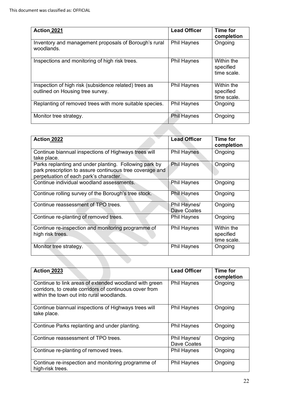| Action 2021                                                                               | <b>Lead Officer</b> | <b>Time for</b><br>completion          |
|-------------------------------------------------------------------------------------------|---------------------|----------------------------------------|
| Inventory and management proposals of Borough's rural<br>woodlands.                       | <b>Phil Haynes</b>  | Ongoing                                |
| Inspections and monitoring of high risk trees.                                            | <b>Phil Haynes</b>  | Within the<br>specified<br>time scale. |
| Inspection of high risk (subsidence related) trees as<br>outlined on Housing tree survey. | <b>Phil Haynes</b>  | Within the<br>specified<br>time scale. |
| Replanting of removed trees with more suitable species.                                   | <b>Phil Haynes</b>  | Ongoing                                |
| Monitor tree strategy.                                                                    | <b>Phil Haynes</b>  | Ongoing                                |

| Action 2022                                                                                                                                                  | <b>Lead Officer</b>         | Time for<br>completion                 |
|--------------------------------------------------------------------------------------------------------------------------------------------------------------|-----------------------------|----------------------------------------|
| Continue biannual inspections of Highways trees will<br>take place.                                                                                          | <b>Phil Haynes</b>          | Ongoing                                |
| Parks replanting and under planting. Following park by<br>park prescription to assure continuous tree coverage and<br>perpetuation of each park's character. | <b>Phil Haynes</b>          | Ongoing                                |
| Continue individual woodland assessments.                                                                                                                    | <b>Phil Haynes</b>          | Ongoing                                |
| Continue rolling survey of the Borough's tree stock.                                                                                                         | <b>Phil Haynes</b>          | Ongoing                                |
| Continue reassessment of TPO trees.                                                                                                                          | Phil Haynes/<br>Dave Coates | Ongoing                                |
| Continue re-planting of removed trees.                                                                                                                       | <b>Phil Haynes</b>          | Ongoing                                |
| Continue re-inspection and monitoring programme of<br>high risk trees.                                                                                       | <b>Phil Haynes</b>          | Within the<br>specified<br>time scale. |
| Monitor tree strategy.                                                                                                                                       | <b>Phil Haynes</b>          | Ongoing                                |
|                                                                                                                                                              |                             |                                        |
| <b>Action 2023</b>                                                                                                                                           | <b>Lead Officer</b>         | <b>Time for</b><br>completion          |

| Action 2023                                                                                                                                                    | <b>Lead Officer</b>         | Time for<br>completion |
|----------------------------------------------------------------------------------------------------------------------------------------------------------------|-----------------------------|------------------------|
| Continue to link areas of extended woodland with green<br>corridors, to create corridors of continuous cover from<br>within the town out into rural woodlands. | <b>Phil Haynes</b>          | Ongoing                |
| Continue biannual inspections of Highways trees will<br>take place.                                                                                            | <b>Phil Haynes</b>          | Ongoing                |
| Continue Parks replanting and under planting.                                                                                                                  | <b>Phil Haynes</b>          | Ongoing                |
| Continue reassessment of TPO trees.                                                                                                                            | Phil Haynes/<br>Dave Coates | Ongoing                |
| Continue re-planting of removed trees.                                                                                                                         | <b>Phil Haynes</b>          | Ongoing                |
| Continue re-inspection and monitoring programme of<br>high-risk trees.                                                                                         | <b>Phil Haynes</b>          | Ongoing                |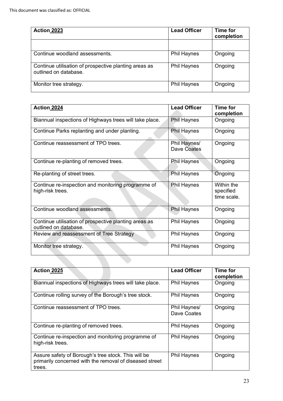| Action 2023                                                                    | <b>Lead Officer</b> | <b>Time for</b><br>completion |
|--------------------------------------------------------------------------------|---------------------|-------------------------------|
|                                                                                |                     |                               |
| Continue woodland assessments.                                                 | <b>Phil Haynes</b>  | Ongoing                       |
| Continue utilisation of prospective planting areas as<br>outlined on database. | <b>Phil Haynes</b>  | Ongoing                       |
| Monitor tree strategy.                                                         | <b>Phil Haynes</b>  | Ongoing                       |

| Action 2024                                                                    | <b>Lead Officer</b>         | <b>Time for</b><br>completion          |
|--------------------------------------------------------------------------------|-----------------------------|----------------------------------------|
| Biannual inspections of Highways trees will take place.                        | <b>Phil Haynes</b>          | Ongoing                                |
| Continue Parks replanting and under planting.                                  | <b>Phil Haynes</b>          | Ongoing                                |
| Continue reassessment of TPO trees.                                            | Phil Haynes/<br>Dave Coates | Ongoing                                |
| Continue re-planting of removed trees.                                         | <b>Phil Haynes</b>          | Ongoing                                |
| Re-planting of street trees.                                                   | <b>Phil Haynes</b>          | Ongoing                                |
| Continue re-inspection and monitoring programme of<br>high-risk trees.         | <b>Phil Haynes</b>          | Within the<br>specified<br>time scale. |
| Continue woodland assessments.                                                 | <b>Phil Haynes</b>          | Ongoing                                |
| Continue utilisation of prospective planting areas as<br>outlined on database. | <b>Phil Haynes</b>          | Ongoing                                |
| Review and reassessment of Tree Strategy                                       | <b>Phil Haynes</b>          | Ongoing                                |
| Monitor tree strategy.                                                         | <b>Phil Haynes</b>          | Ongoing                                |

| Action 2025                                                                                                              | <b>Lead Officer</b>         | Time for<br>completion |
|--------------------------------------------------------------------------------------------------------------------------|-----------------------------|------------------------|
| Biannual inspections of Highways trees will take place.                                                                  | <b>Phil Haynes</b>          | Ongoing                |
| Continue rolling survey of the Borough's tree stock.                                                                     | <b>Phil Haynes</b>          | Ongoing                |
| Continue reassessment of TPO trees.                                                                                      | Phil Haynes/<br>Dave Coates | Ongoing                |
| Continue re-planting of removed trees.                                                                                   | <b>Phil Haynes</b>          | Ongoing                |
| Continue re-inspection and monitoring programme of<br>high-risk trees.                                                   | <b>Phil Haynes</b>          | Ongoing                |
| Assure safety of Borough's tree stock. This will be<br>primarily concerned with the removal of diseased street<br>trees. | <b>Phil Haynes</b>          | Ongoing                |